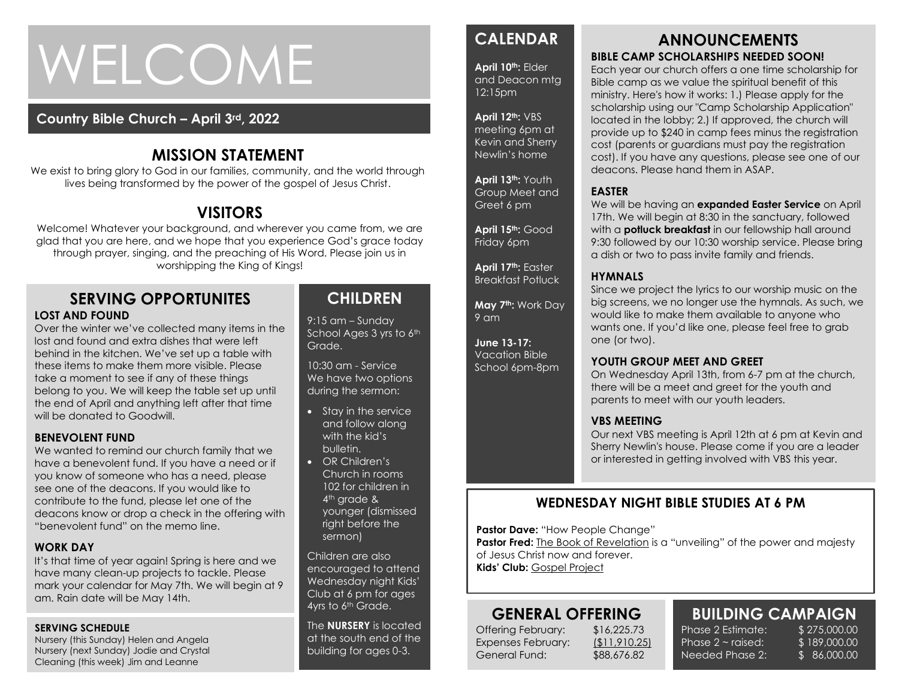# WELCOME

## **Country Bible Church – April 3rd, 2022**

## **MISSION STATEMENT**

We exist to bring glory to God in our families, community, and the world through lives being transformed by the power of the gospel of Jesus Christ.

## **VISITORS**

Welcome! Whatever your background, and wherever you came from, we are glad that you are here, and we hope that you experience God's grace today through prayer, singing, and the preaching of His Word. Please join us in worshipping the King of Kings!

#### **SERVING OPPORTUNITES LOST AND FOUND**

the end of April and anything left after that time<br>will be donated to Goodwill Over the winter we've collected many items in the lost and found and extra dishes that were left behind in the kitchen. We've set up a table with these items to make them more visible. Please take a moment to see if any of these things belong to you. We will keep the table set up until will be donated to Goodwill.

#### **BENEVOLENT FUND**

We wanted to remind our church family that we have a benevolent fund. If you have a need or if you know of someone who has a need, please see one of the deacons. If you would like to contribute to the fund, please let one of the deacons know or drop a check in the offering with "benevolent fund" on the memo line.

#### **WORK DAY**

It's that time of year again! Spring is here and we have many clean-up projects to tackle. Please mark your calendar for May 7th. We will begin at 9 am. Rain date will be May 14th.

#### **SERVING SCHEDULE**

Nursery (this Sunday) Helen and Angela Nursery (next Sunday) Jodie and Crystal Cleaning (this week) Jim and Leanne

## **CHILDREN**

9:15 am – Sunday School Ages 3 yrs to 6th Grade.

10:30 am - Service We have two options during the sermon:

- Stay in the service and follow along with the kid's bulletin.
- OR Children's Church in rooms 102 for children in 4<sup>th</sup> grade & younger (dismissed right before the sermon)

Children are also encouraged to attend Wednesday night Kids' Club at 6 pm for ages 4yrs to 6<sup>th</sup> Grade.

The **NURSERY** is located at the south end of the building for ages 0-3.

## **CALENDAR**

**April 10th:** Elder and Deacon mtg 12:15pm

#### **April 12th:** VBS

meeting 6pm at Kevin and Sherry Newlin's home

**April 13th:** Youth Group Meet and Greet 6 pm

**April 15th:** Good Friday 6pm

**April 17th:** Easter Breakfast Potluck

**May 7th:** Work Day 9 am

**June 13-17:**  Vacation Bible School 6pm-8pm

### **ANNOUNCEMENTS BIBLE CAMP SCHOLARSHIPS NEEDED SOON!**

Each year our church offers a one time scholarship for Bible camp as we value the spiritual benefit of this ministry. Here's how it works: 1.) Please apply for the scholarship using our "Camp Scholarship Application" located in the lobby; 2.) If approved, the church will provide up to \$240 in camp fees minus the registration cost (parents or guardians must pay the registration cost). If you have any questions, please see one of our deacons. Please hand them in ASAP.

#### **EASTER**

We will be having an **expanded Easter Service** on April 17th. We will begin at 8:30 in the sanctuary, followed with a **potluck breakfast** in our fellowship hall around 9:30 followed by our 10:30 worship service. Please bring a dish or two to pass invite family and friends.

#### **HYMNALS**

Since we project the lyrics to our worship music on the big screens, we no longer use the hymnals. As such, we would like to make them available to anyone who wants one. If you'd like one, please feel free to grab one (or two).

#### **YOUTH GROUP MEET AND GREET**

On Wednesday April 13th, from 6-7 pm at the church, there will be a meet and greet for the youth and parents to meet with our youth leaders.

#### **VBS MEETING**

Our next VBS meeting is April 12th at 6 pm at Kevin and Sherry Newlin's house. Please come if you are a leader or interested in getting involved with VBS this year.

## **WEDNESDAY NIGHT BIBLE STUDIES AT 6 PM**

**Pastor Dave: "How People Change"** 

**Pastor Fred:** The Book of Revelation is a "unveiling" of the power and majesty of Jesus Christ now and forever. **Kids' Club:** Gospel Project

## **GENERAL OFFERING**

Offering February: \$16,225.73 Expenses February: (\$11,910.25) General Fund: \$88,676.82

**BUILDING CAMPAIGN** Phase 2 Estimate: \$275,000.00 Phase  $2 \sim$  raised:

Needed Phase 2:

\$ 189,000.00 \$ 86,000.00